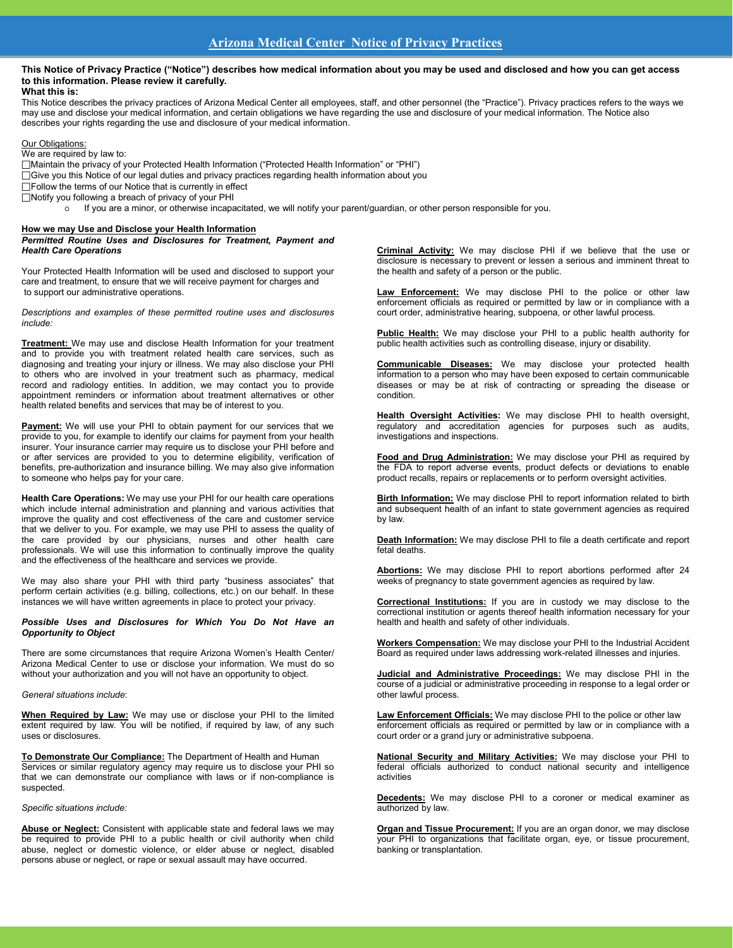### **This Notice of Privacy Practice ("Notice") describes how medical information about you may be used and disclosed and how you can get access to this information. Please review it carefully. What this is:**

This Notice describes the privacy practices of Arizona Medical Center all employees, staff, and other personnel (the "Practice"). Privacy practices refers to the ways we may use and disclose your medical information, and certain obligations we have regarding the use and disclosure of your medical information. The Notice also describes your rights regarding the use and disclosure of your medical information.

**Our Obligations** 

We are required by law to:

Maintain the privacy of your Protected Health Information ("Protected Health Information" or "PHI")

- Give you this Notice of our legal duties and privacy practices regarding health information about you
- Follow the terms of our Notice that is currently in effect
- $\Box$ Notify you following a breach of privacy of your PHI<br>  $\Box$ Notify you are a minor or otherwise incapa
	- If you are a minor, or otherwise incapacitated, we will notify your parent/guardian, or other person responsible for you.

# **How we may Use and Disclose your Health Information**

*Permitted Routine Uses and Disclosures for Treatment, Payment and Health Care Operations*

Your Protected Health Information will be used and disclosed to support your care and treatment, to ensure that we will receive payment for charges and to support our administrative operations.

*Descriptions and examples of these permitted routine uses and disclosures include:*

**Treatment:** We may use and disclose Health Information for your treatment and to provide you with treatment related health care services, such as diagnosing and treating your injury or illness. We may also disclose your PHI to others who are involved in your treatment such as pharmacy, medical record and radiology entities. In addition, we may contact you to provide appointment reminders or information about treatment alternatives or other health related benefits and services that may be of interest to you.

Payment: We will use your PHI to obtain payment for our services that we provide to you, for example to identify our claims for payment from your health insurer. Your insurance carrier may require us to disclose your PHI before and or after services are provided to you to determine eligibility, verification of benefits, pre-authorization and insurance billing. We may also give information to someone who helps pay for your care.

**Health Care Operations:** We may use your PHI for our health care operations which include internal administration and planning and various activities that improve the quality and cost effectiveness of the care and customer service that we deliver to you. For example, we may use PHI to assess the quality of the care provided by our physicians, nurses and other health care professionals. We will use this information to continually improve the quality and the effectiveness of the healthcare and services we provide.

We may also share your PHI with third party "business associates" that perform certain activities (e.g. billing, collections, etc.) on our behalf. In these instances we will have written agreements in place to protect your privacy.

*Possible Uses and Disclosures for Which You Do Not Have an Opportunity to Object*

There are some circumstances that require Arizona Women's Health Center/ Arizona Medical Center to use or disclose your information. We must do so without your authorization and you will not have an opportunity to object.

### *General situations include*:

**When Required by Law:** We may use or disclose your PHI to the limited extent required by law. You will be notified, if required by law, of any such uses or disclosures.

**To Demonstrate Our Compliance:** The Department of Health and Human Services or similar regulatory agency may require us to disclose your PHI so that we can demonstrate our compliance with laws or if non-compliance is suspected.

*Specific situations include:*

**Abuse or Neglect:** Consistent with applicable state and federal laws we may be required to provide PHI to a public health or civil authority when child abuse, neglect or domestic violence, or elder abuse or neglect, disabled persons abuse or neglect, or rape or sexual assault may have occurred.

**Criminal Activity:** We may disclose PHI if we believe that the use or disclosure is necessary to prevent or lessen a serious and imminent threat to the health and safety of a person or the public.

**Law Enforcement:** We may disclose PHI to the police or other law enforcement officials as required or permitted by law or in compliance with a court order, administrative hearing, subpoena, or other lawful process.

**Public Health:** We may disclose your PHI to a public health authority for public health activities such as controlling disease, injury or disability.

**Communicable Diseases:** We may disclose your protected health information to a person who may have been exposed to certain communicable diseases or may be at risk of contracting or spreading the disease or condition.

**Health Oversight Activities:** We may disclose PHI to health oversight, regulatory and accreditation agencies for purposes such as audits, investigations and inspections.

**Food and Drug Administration:** We may disclose your PHI as required by the FDA to report adverse events, product defects or deviations to enable product recalls, repairs or replacements or to perform oversight activities.

**Birth Information:** We may disclose PHI to report information related to birth and subsequent health of an infant to state government agencies as required by law.

**Death Information:** We may disclose PHI to file a death certificate and report fetal deaths.

**Abortions:** We may disclose PHI to report abortions performed after 24 weeks of pregnancy to state government agencies as required by law.

**Correctional Institutions:** If you are in custody we may disclose to the correctional institution or agents thereof health information necessary for your health and health and safety of other individuals.

**Workers Compensation:** We may disclose your PHI to the Industrial Accident Board as required under laws addressing work-related illnesses and injuries.

**Judicial and Administrative Proceedings:** We may disclose PHI in the course of a judicial or administrative proceeding in response to a legal order or other lawful process.

**Law Enforcement Officials:** We may disclose PHI to the police or other law enforcement officials as required or permitted by law or in compliance with a court order or a grand jury or administrative subpoena.

**National Security and Military Activities:** We may disclose your PHI to federal officials authorized to conduct national security and intelligence activities

**Decedents:** We may disclose PHI to a coroner or medical examiner as authorized by law.

**Organ and Tissue Procurement:** If you are an organ donor, we may disclose your PHI to organizations that facilitate organ, eye, or tissue procurement, banking or transplantation.